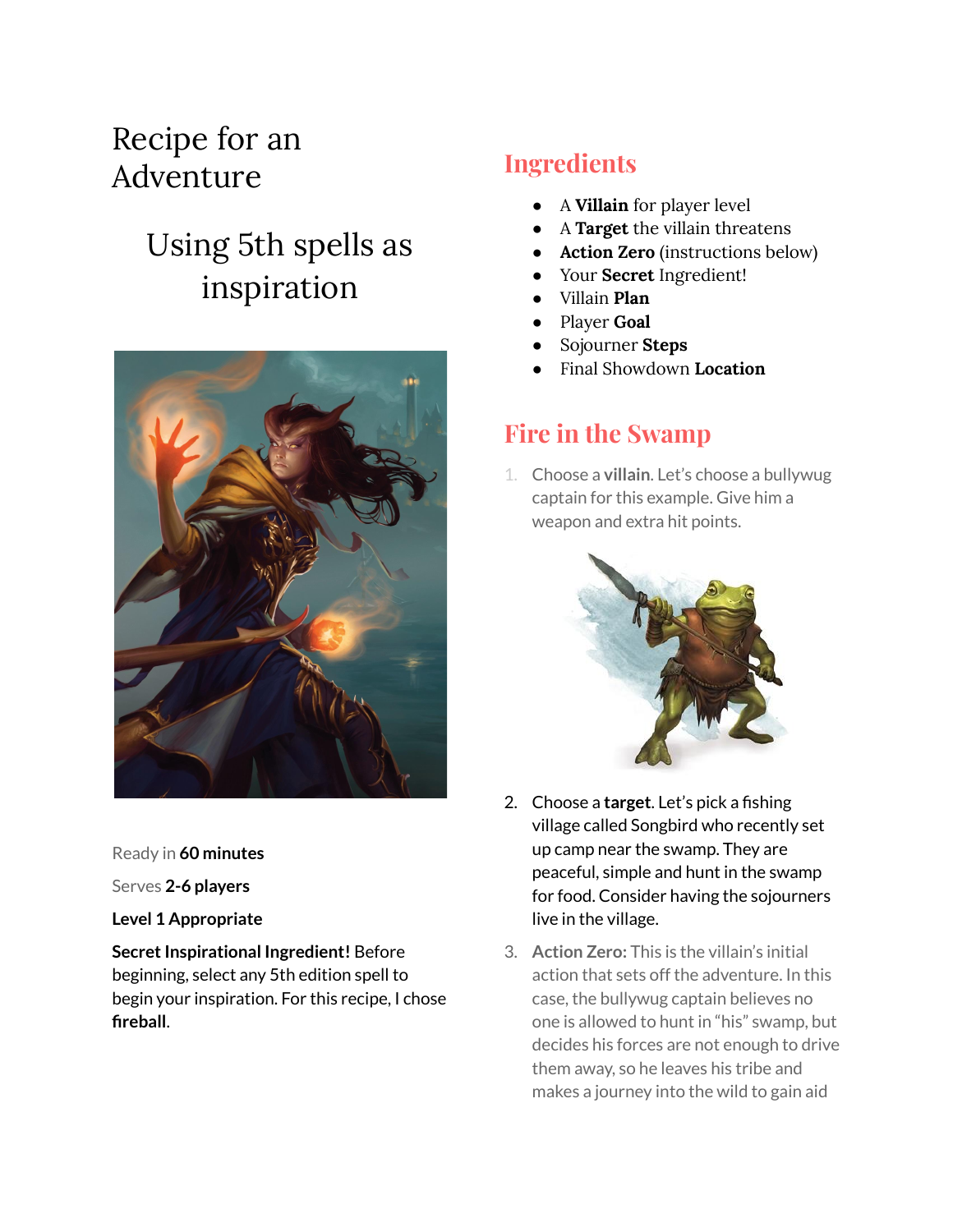## Recipe for an Adventure

# Using 5th spells as inspiration



Ready in **60 minutes**

Serves **2-6 players**

#### **Level 1 Appropriate**

**Secret Inspirational Ingredient! Before** beginning, select any 5th edition spell to begin your inspiration. For this recipe, I chose **fireball**.

#### **Ingredients**

- A **Villain** for player level
- A **Target** the villain threatens
- **Action Zero** (instructions below)
- Your **Secret** Ingredient!
- Villain **Plan**
- Player **Goal**
- Sojourner **Steps**
- Final Showdown **Location**

#### **Fire in the Swamp**

1. Choose a **villain**. Let's choose a bullywug captain for this example. Give him a weapon and extra hit points.



- 2. Choose a **target**. Let's pick a fishing village called Songbird who recently set up camp near the swamp. They are peaceful, simple and hunt in the swamp for food. Consider having the sojourners live in the village.
- 3. **Action Zero:** This is the villain's initial action that sets off the adventure. In this case, the bullywug captain believes no one is allowed to hunt in "his" swamp, but decides his forces are not enough to drive them away, so he leaves his tribe and makes a journey into the wild to gain aid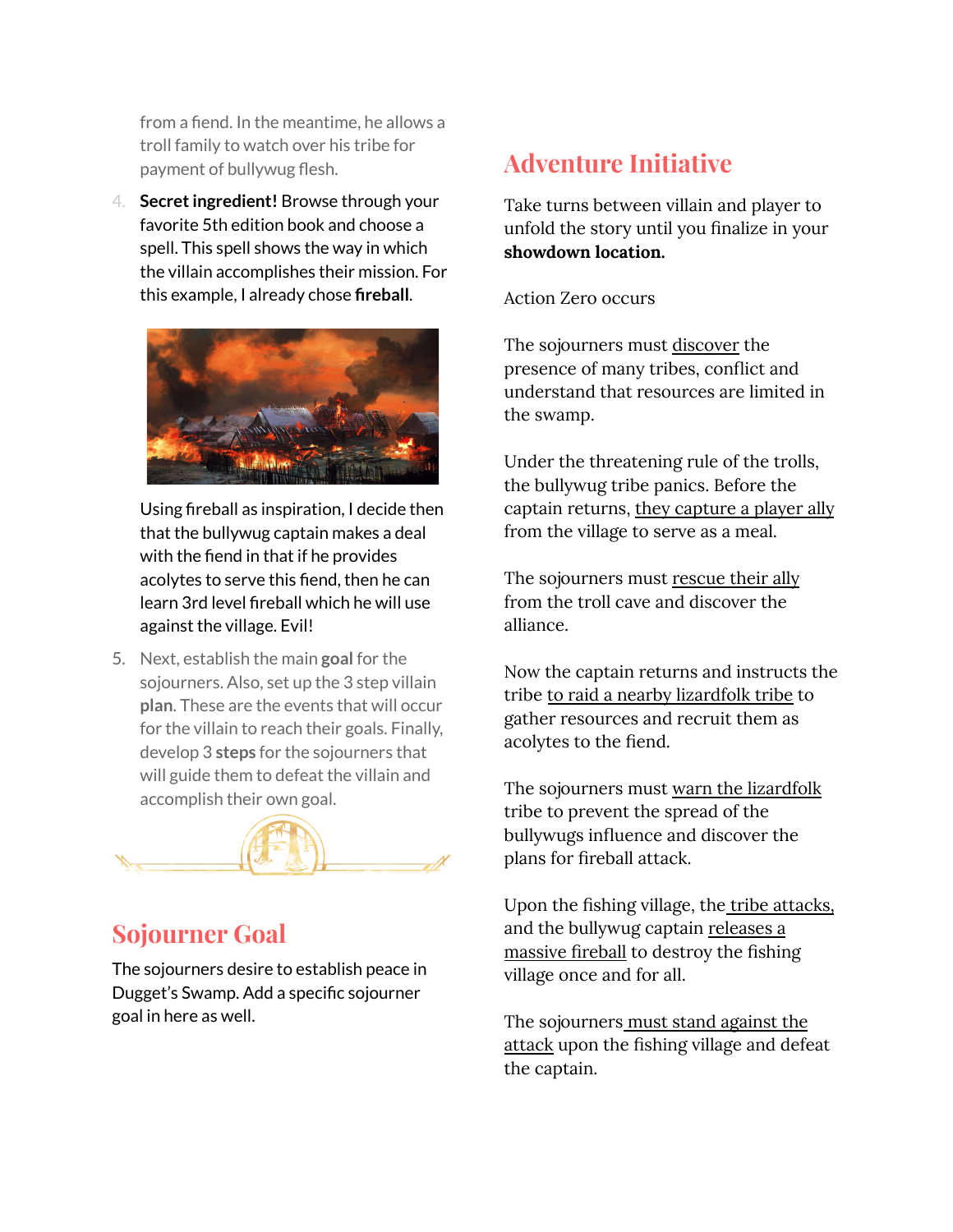from a fiend. In the meantime, he allows a troll family to watch over his tribe for payment of bullywug flesh.

4. **Secretingredient!** Browse through your favorite 5th edition book and choose a spell. This spell shows the way in which the villain accomplishes their mission. For this example, I already chose **fireball**.



Using fireball as inspiration, I decide then that the bullywug captain makes a deal with the fiend in that if he provides acolytes to serve this fiend, then he can learn 3rd level fireball which he will use against the village. Evil!

5. Next, establish the main **goal** for the sojourners. Also, set up the 3 step villain **plan**. These are the events that will occur for the villain to reach their goals. Finally, develop 3 **steps** for the sojourners that will guide them to defeat the villain and accomplish their own goal.



#### **Sojourner Goal**

The sojourners desire to establish peace in Dugget's Swamp. Add a specific sojourner goal in here as well.

### **Adventure Initiative**

Take turns between villain and player to unfold the story until you finalize in your **showdown location.**

Action Zero occurs

The sojourners must discover the presence of many tribes, conflict and understand that resources are limited in the swamp.

Under the threatening rule of the trolls, the bullywug tribe panics. Before the captain returns, they capture a player ally from the village to serve as a meal.

The sojourners must rescue their ally from the troll cave and discover the alliance.

Now the captain returns and instructs the tribe to raid a nearby lizardfolk tribe to gather resources and recruit them as acolytes to the fiend.

The sojourners must warn the lizardfolk tribe to prevent the spread of the bullywugs influence and discover the plans for fireball attack.

Upon the fishing village, the tribe attacks, and the bullywug captain releases a massive fireball to destroy the fishing village once and for all.

The sojourners must stand against the attack upon the fishing village and defeat the captain.